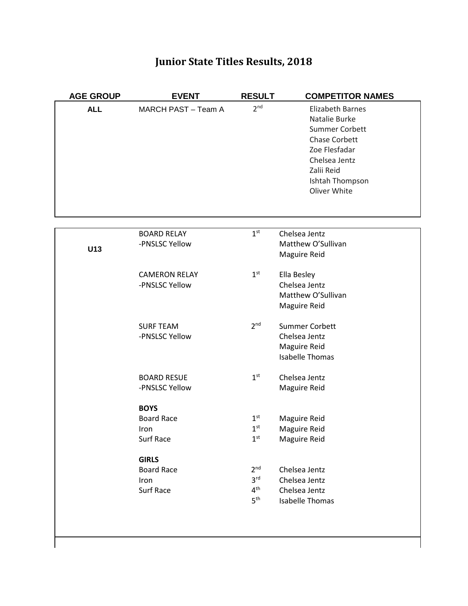# **Junior State Titles Results, 2018**

| <b>AGE GROUP</b> | <b>EVENT</b>         | <b>RESULT</b>   | <b>COMPETITOR NAMES</b> |
|------------------|----------------------|-----------------|-------------------------|
| <b>ALL</b>       | MARCH PAST - Team A  | 2 <sup>nd</sup> | <b>Elizabeth Barnes</b> |
|                  |                      |                 | Natalie Burke           |
|                  |                      |                 | Summer Corbett          |
|                  |                      |                 | Chase Corbett           |
|                  |                      |                 | Zoe Flesfadar           |
|                  |                      |                 | Chelsea Jentz           |
|                  |                      |                 | Zalii Reid              |
|                  |                      |                 | Ishtah Thompson         |
|                  |                      |                 | Oliver White            |
|                  |                      |                 |                         |
|                  |                      |                 |                         |
|                  |                      |                 |                         |
|                  | <b>BOARD RELAY</b>   | 1 <sup>st</sup> | Chelsea Jentz           |
| U13              | -PNSLSC Yellow       |                 | Matthew O'Sullivan      |
|                  |                      |                 | Maguire Reid            |
|                  | <b>CAMERON RELAY</b> | 1 <sup>st</sup> | Ella Besley             |
|                  | -PNSLSC Yellow       |                 | Chelsea Jentz           |
|                  |                      |                 | Matthew O'Sullivan      |
|                  |                      |                 | Maguire Reid            |
|                  |                      |                 |                         |
|                  | <b>SURF TEAM</b>     | 2 <sup>nd</sup> | <b>Summer Corbett</b>   |
|                  | -PNSLSC Yellow       |                 | Chelsea Jentz           |
|                  |                      |                 | Maguire Reid            |
|                  |                      |                 | <b>Isabelle Thomas</b>  |
|                  |                      |                 |                         |
|                  | <b>BOARD RESUE</b>   | 1 <sup>st</sup> | Chelsea Jentz           |
|                  | -PNSLSC Yellow       |                 | Maguire Reid            |
|                  |                      |                 |                         |
|                  | <b>BOYS</b>          |                 |                         |
|                  | <b>Board Race</b>    | 1 <sup>st</sup> | Maguire Reid            |
|                  | Iron                 | 1 <sup>st</sup> | Maguire Reid            |
|                  | Surf Race            | 1 <sup>st</sup> | Maguire Reid            |
|                  | <b>GIRLS</b>         |                 |                         |
|                  | <b>Board Race</b>    | 2 <sup>nd</sup> | Chelsea Jentz           |
|                  | Iron                 | 3 <sup>rd</sup> | Chelsea Jentz           |
|                  | Surf Race            | $4^{\text{th}}$ | Chelsea Jentz           |
|                  |                      | 5 <sup>th</sup> | <b>Isabelle Thomas</b>  |
|                  |                      |                 |                         |
|                  |                      |                 |                         |
|                  |                      |                 |                         |

ľ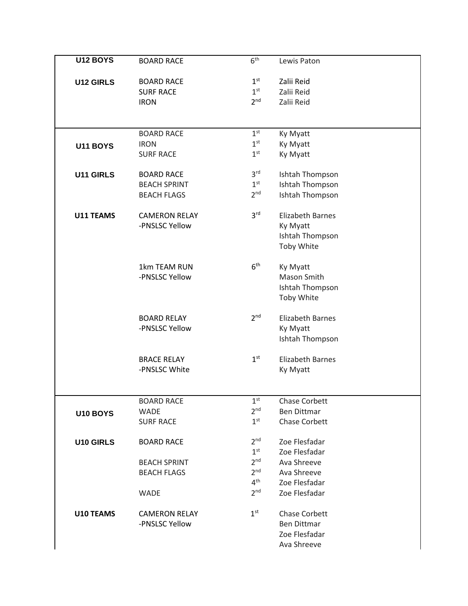| 1 <sup>st</sup><br><b>BOARD RACE</b><br>Zalii Reid<br><b>U12 GIRLS</b><br>1 <sup>st</sup><br>Zalii Reid<br><b>SURF RACE</b><br>2 <sup>nd</sup><br><b>IRON</b><br>Zalii Reid<br>1 <sup>st</sup><br><b>BOARD RACE</b><br>Ky Myatt<br>1 <sup>st</sup><br>Ky Myatt<br><b>IRON</b><br><b>U11 BOYS</b><br>1 <sup>st</sup><br>Ky Myatt<br><b>SURF RACE</b><br>3 <sup>rd</sup><br><b>BOARD RACE</b><br>Ishtah Thompson<br>U11 GIRLS<br>1 <sup>st</sup><br>Ishtah Thompson<br><b>BEACH SPRINT</b><br>2 <sup>nd</sup><br>Ishtah Thompson<br><b>BEACH FLAGS</b><br>3 <sup>rd</sup><br><b>U11 TEAMS</b><br><b>CAMERON RELAY</b><br><b>Elizabeth Barnes</b><br>-PNSLSC Yellow<br>Ky Myatt<br>Ishtah Thompson<br>Toby White<br>6 <sup>th</sup><br>1km TEAM RUN<br>Ky Myatt<br>-PNSLSC Yellow<br>Mason Smith<br>Ishtah Thompson<br>Toby White<br>2 <sup>nd</sup><br><b>BOARD RELAY</b><br><b>Elizabeth Barnes</b><br>-PNSLSC Yellow<br>Ky Myatt<br>Ishtah Thompson<br>1 <sup>st</sup><br><b>Elizabeth Barnes</b><br><b>BRACE RELAY</b><br>-PNSLSC White<br>Ky Myatt<br>1 <sup>st</sup><br>Chase Corbett<br><b>BOARD RACE</b><br>2 <sup>nd</sup><br><b>Ben Dittmar</b><br><b>WADE</b><br>U10 BOYS<br>1 <sup>st</sup><br>Chase Corbett<br><b>SURF RACE</b><br>2 <sub>nd</sub><br>Zoe Flesfadar<br><b>U10 GIRLS</b><br><b>BOARD RACE</b><br>1 <sup>st</sup><br>Zoe Flesfadar<br>2 <sup>nd</sup><br>Ava Shreeve<br><b>BEACH SPRINT</b><br>2 <sup>nd</sup><br>Ava Shreeve<br><b>BEACH FLAGS</b><br>4 <sup>th</sup><br>Zoe Flesfadar<br>2 <sup>nd</sup><br>Zoe Flesfadar<br><b>WADE</b><br>1 <sup>st</sup><br>Chase Corbett<br>U10 TEAMS<br><b>CAMERON RELAY</b><br>-PNSLSC Yellow<br><b>Ben Dittmar</b><br>Zoe Flesfadar<br>Ava Shreeve | <b>U12 BOYS</b> | <b>BOARD RACE</b> | 6 <sup>th</sup> | Lewis Paton |
|---------------------------------------------------------------------------------------------------------------------------------------------------------------------------------------------------------------------------------------------------------------------------------------------------------------------------------------------------------------------------------------------------------------------------------------------------------------------------------------------------------------------------------------------------------------------------------------------------------------------------------------------------------------------------------------------------------------------------------------------------------------------------------------------------------------------------------------------------------------------------------------------------------------------------------------------------------------------------------------------------------------------------------------------------------------------------------------------------------------------------------------------------------------------------------------------------------------------------------------------------------------------------------------------------------------------------------------------------------------------------------------------------------------------------------------------------------------------------------------------------------------------------------------------------------------------------------------------------------------------------------------------------------------------------------------------------------------------|-----------------|-------------------|-----------------|-------------|
|                                                                                                                                                                                                                                                                                                                                                                                                                                                                                                                                                                                                                                                                                                                                                                                                                                                                                                                                                                                                                                                                                                                                                                                                                                                                                                                                                                                                                                                                                                                                                                                                                                                                                                                     |                 |                   |                 |             |
|                                                                                                                                                                                                                                                                                                                                                                                                                                                                                                                                                                                                                                                                                                                                                                                                                                                                                                                                                                                                                                                                                                                                                                                                                                                                                                                                                                                                                                                                                                                                                                                                                                                                                                                     |                 |                   |                 |             |
|                                                                                                                                                                                                                                                                                                                                                                                                                                                                                                                                                                                                                                                                                                                                                                                                                                                                                                                                                                                                                                                                                                                                                                                                                                                                                                                                                                                                                                                                                                                                                                                                                                                                                                                     |                 |                   |                 |             |
|                                                                                                                                                                                                                                                                                                                                                                                                                                                                                                                                                                                                                                                                                                                                                                                                                                                                                                                                                                                                                                                                                                                                                                                                                                                                                                                                                                                                                                                                                                                                                                                                                                                                                                                     |                 |                   |                 |             |
|                                                                                                                                                                                                                                                                                                                                                                                                                                                                                                                                                                                                                                                                                                                                                                                                                                                                                                                                                                                                                                                                                                                                                                                                                                                                                                                                                                                                                                                                                                                                                                                                                                                                                                                     |                 |                   |                 |             |
|                                                                                                                                                                                                                                                                                                                                                                                                                                                                                                                                                                                                                                                                                                                                                                                                                                                                                                                                                                                                                                                                                                                                                                                                                                                                                                                                                                                                                                                                                                                                                                                                                                                                                                                     |                 |                   |                 |             |
|                                                                                                                                                                                                                                                                                                                                                                                                                                                                                                                                                                                                                                                                                                                                                                                                                                                                                                                                                                                                                                                                                                                                                                                                                                                                                                                                                                                                                                                                                                                                                                                                                                                                                                                     |                 |                   |                 |             |
|                                                                                                                                                                                                                                                                                                                                                                                                                                                                                                                                                                                                                                                                                                                                                                                                                                                                                                                                                                                                                                                                                                                                                                                                                                                                                                                                                                                                                                                                                                                                                                                                                                                                                                                     |                 |                   |                 |             |
|                                                                                                                                                                                                                                                                                                                                                                                                                                                                                                                                                                                                                                                                                                                                                                                                                                                                                                                                                                                                                                                                                                                                                                                                                                                                                                                                                                                                                                                                                                                                                                                                                                                                                                                     |                 |                   |                 |             |
|                                                                                                                                                                                                                                                                                                                                                                                                                                                                                                                                                                                                                                                                                                                                                                                                                                                                                                                                                                                                                                                                                                                                                                                                                                                                                                                                                                                                                                                                                                                                                                                                                                                                                                                     |                 |                   |                 |             |
|                                                                                                                                                                                                                                                                                                                                                                                                                                                                                                                                                                                                                                                                                                                                                                                                                                                                                                                                                                                                                                                                                                                                                                                                                                                                                                                                                                                                                                                                                                                                                                                                                                                                                                                     |                 |                   |                 |             |
|                                                                                                                                                                                                                                                                                                                                                                                                                                                                                                                                                                                                                                                                                                                                                                                                                                                                                                                                                                                                                                                                                                                                                                                                                                                                                                                                                                                                                                                                                                                                                                                                                                                                                                                     |                 |                   |                 |             |
|                                                                                                                                                                                                                                                                                                                                                                                                                                                                                                                                                                                                                                                                                                                                                                                                                                                                                                                                                                                                                                                                                                                                                                                                                                                                                                                                                                                                                                                                                                                                                                                                                                                                                                                     |                 |                   |                 |             |
|                                                                                                                                                                                                                                                                                                                                                                                                                                                                                                                                                                                                                                                                                                                                                                                                                                                                                                                                                                                                                                                                                                                                                                                                                                                                                                                                                                                                                                                                                                                                                                                                                                                                                                                     |                 |                   |                 |             |
|                                                                                                                                                                                                                                                                                                                                                                                                                                                                                                                                                                                                                                                                                                                                                                                                                                                                                                                                                                                                                                                                                                                                                                                                                                                                                                                                                                                                                                                                                                                                                                                                                                                                                                                     |                 |                   |                 |             |
|                                                                                                                                                                                                                                                                                                                                                                                                                                                                                                                                                                                                                                                                                                                                                                                                                                                                                                                                                                                                                                                                                                                                                                                                                                                                                                                                                                                                                                                                                                                                                                                                                                                                                                                     |                 |                   |                 |             |
|                                                                                                                                                                                                                                                                                                                                                                                                                                                                                                                                                                                                                                                                                                                                                                                                                                                                                                                                                                                                                                                                                                                                                                                                                                                                                                                                                                                                                                                                                                                                                                                                                                                                                                                     |                 |                   |                 |             |
|                                                                                                                                                                                                                                                                                                                                                                                                                                                                                                                                                                                                                                                                                                                                                                                                                                                                                                                                                                                                                                                                                                                                                                                                                                                                                                                                                                                                                                                                                                                                                                                                                                                                                                                     |                 |                   |                 |             |
|                                                                                                                                                                                                                                                                                                                                                                                                                                                                                                                                                                                                                                                                                                                                                                                                                                                                                                                                                                                                                                                                                                                                                                                                                                                                                                                                                                                                                                                                                                                                                                                                                                                                                                                     |                 |                   |                 |             |
|                                                                                                                                                                                                                                                                                                                                                                                                                                                                                                                                                                                                                                                                                                                                                                                                                                                                                                                                                                                                                                                                                                                                                                                                                                                                                                                                                                                                                                                                                                                                                                                                                                                                                                                     |                 |                   |                 |             |
|                                                                                                                                                                                                                                                                                                                                                                                                                                                                                                                                                                                                                                                                                                                                                                                                                                                                                                                                                                                                                                                                                                                                                                                                                                                                                                                                                                                                                                                                                                                                                                                                                                                                                                                     |                 |                   |                 |             |
|                                                                                                                                                                                                                                                                                                                                                                                                                                                                                                                                                                                                                                                                                                                                                                                                                                                                                                                                                                                                                                                                                                                                                                                                                                                                                                                                                                                                                                                                                                                                                                                                                                                                                                                     |                 |                   |                 |             |
|                                                                                                                                                                                                                                                                                                                                                                                                                                                                                                                                                                                                                                                                                                                                                                                                                                                                                                                                                                                                                                                                                                                                                                                                                                                                                                                                                                                                                                                                                                                                                                                                                                                                                                                     |                 |                   |                 |             |
|                                                                                                                                                                                                                                                                                                                                                                                                                                                                                                                                                                                                                                                                                                                                                                                                                                                                                                                                                                                                                                                                                                                                                                                                                                                                                                                                                                                                                                                                                                                                                                                                                                                                                                                     |                 |                   |                 |             |
|                                                                                                                                                                                                                                                                                                                                                                                                                                                                                                                                                                                                                                                                                                                                                                                                                                                                                                                                                                                                                                                                                                                                                                                                                                                                                                                                                                                                                                                                                                                                                                                                                                                                                                                     |                 |                   |                 |             |
|                                                                                                                                                                                                                                                                                                                                                                                                                                                                                                                                                                                                                                                                                                                                                                                                                                                                                                                                                                                                                                                                                                                                                                                                                                                                                                                                                                                                                                                                                                                                                                                                                                                                                                                     |                 |                   |                 |             |
|                                                                                                                                                                                                                                                                                                                                                                                                                                                                                                                                                                                                                                                                                                                                                                                                                                                                                                                                                                                                                                                                                                                                                                                                                                                                                                                                                                                                                                                                                                                                                                                                                                                                                                                     |                 |                   |                 |             |
|                                                                                                                                                                                                                                                                                                                                                                                                                                                                                                                                                                                                                                                                                                                                                                                                                                                                                                                                                                                                                                                                                                                                                                                                                                                                                                                                                                                                                                                                                                                                                                                                                                                                                                                     |                 |                   |                 |             |
|                                                                                                                                                                                                                                                                                                                                                                                                                                                                                                                                                                                                                                                                                                                                                                                                                                                                                                                                                                                                                                                                                                                                                                                                                                                                                                                                                                                                                                                                                                                                                                                                                                                                                                                     |                 |                   |                 |             |
|                                                                                                                                                                                                                                                                                                                                                                                                                                                                                                                                                                                                                                                                                                                                                                                                                                                                                                                                                                                                                                                                                                                                                                                                                                                                                                                                                                                                                                                                                                                                                                                                                                                                                                                     |                 |                   |                 |             |
|                                                                                                                                                                                                                                                                                                                                                                                                                                                                                                                                                                                                                                                                                                                                                                                                                                                                                                                                                                                                                                                                                                                                                                                                                                                                                                                                                                                                                                                                                                                                                                                                                                                                                                                     |                 |                   |                 |             |
|                                                                                                                                                                                                                                                                                                                                                                                                                                                                                                                                                                                                                                                                                                                                                                                                                                                                                                                                                                                                                                                                                                                                                                                                                                                                                                                                                                                                                                                                                                                                                                                                                                                                                                                     |                 |                   |                 |             |
|                                                                                                                                                                                                                                                                                                                                                                                                                                                                                                                                                                                                                                                                                                                                                                                                                                                                                                                                                                                                                                                                                                                                                                                                                                                                                                                                                                                                                                                                                                                                                                                                                                                                                                                     |                 |                   |                 |             |
|                                                                                                                                                                                                                                                                                                                                                                                                                                                                                                                                                                                                                                                                                                                                                                                                                                                                                                                                                                                                                                                                                                                                                                                                                                                                                                                                                                                                                                                                                                                                                                                                                                                                                                                     |                 |                   |                 |             |
|                                                                                                                                                                                                                                                                                                                                                                                                                                                                                                                                                                                                                                                                                                                                                                                                                                                                                                                                                                                                                                                                                                                                                                                                                                                                                                                                                                                                                                                                                                                                                                                                                                                                                                                     |                 |                   |                 |             |
|                                                                                                                                                                                                                                                                                                                                                                                                                                                                                                                                                                                                                                                                                                                                                                                                                                                                                                                                                                                                                                                                                                                                                                                                                                                                                                                                                                                                                                                                                                                                                                                                                                                                                                                     |                 |                   |                 |             |
|                                                                                                                                                                                                                                                                                                                                                                                                                                                                                                                                                                                                                                                                                                                                                                                                                                                                                                                                                                                                                                                                                                                                                                                                                                                                                                                                                                                                                                                                                                                                                                                                                                                                                                                     |                 |                   |                 |             |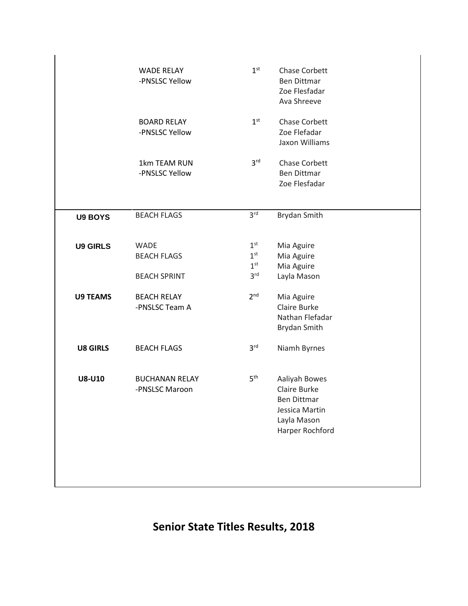|                 | <b>WADE RELAY</b><br>-PNSLSC Yellow       | 1 <sup>st</sup>                                       | Chase Corbett<br><b>Ben Dittmar</b><br>Zoe Flesfadar<br>Ava Shreeve                                     |  |
|-----------------|-------------------------------------------|-------------------------------------------------------|---------------------------------------------------------------------------------------------------------|--|
|                 | <b>BOARD RELAY</b><br>-PNSLSC Yellow      | 1 <sup>st</sup>                                       | Chase Corbett<br>Zoe Flefadar<br>Jaxon Williams                                                         |  |
|                 | 1km TEAM RUN<br>-PNSLSC Yellow            | 3 <sup>rd</sup>                                       | <b>Chase Corbett</b><br><b>Ben Dittmar</b><br>Zoe Flesfadar                                             |  |
| <b>U9 BOYS</b>  | <b>BEACH FLAGS</b>                        | 3 <sup>rd</sup>                                       | Brydan Smith                                                                                            |  |
| <b>U9 GIRLS</b> | <b>WADE</b><br><b>BEACH FLAGS</b>         | 1 <sup>st</sup><br>1 <sup>st</sup><br>1 <sup>st</sup> | Mia Aguire<br>Mia Aguire<br>Mia Aguire                                                                  |  |
| <b>U9 TEAMS</b> | <b>BEACH SPRINT</b><br><b>BEACH RELAY</b> | 3 <sup>rd</sup><br>2 <sup>nd</sup>                    | Layla Mason<br>Mia Aguire                                                                               |  |
|                 | -PNSLSC Team A                            |                                                       | Claire Burke<br>Nathan Flefadar<br>Brydan Smith                                                         |  |
| <b>U8 GIRLS</b> | <b>BEACH FLAGS</b>                        | 3 <sup>rd</sup>                                       | Niamh Byrnes                                                                                            |  |
| <b>U8-U10</b>   | <b>BUCHANAN RELAY</b><br>-PNSLSC Maroon   | 5 <sup>th</sup>                                       | Aaliyah Bowes<br>Claire Burke<br><b>Ben Dittmar</b><br>Jessica Martin<br>Layla Mason<br>Harper Rochford |  |
|                 |                                           |                                                       |                                                                                                         |  |

**Senior State Titles Results, 2018**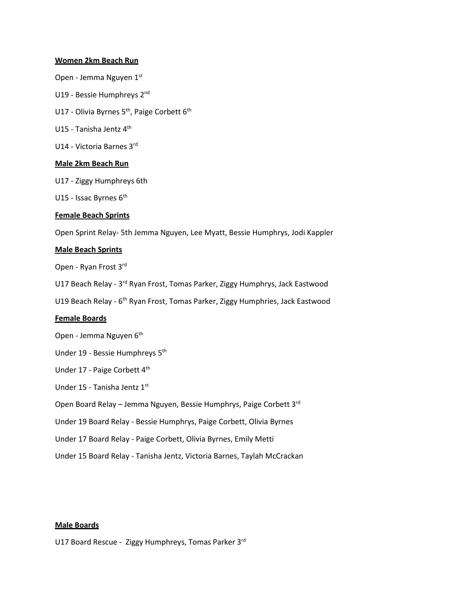#### **Women 2km Beach Run**

- Open Jemma Nguyen 1st
- U19 Bessie Humphreys 2nd
- U17 Olivia Byrnes 5<sup>th</sup>, Paige Corbett 6<sup>th</sup>
- U15 Tanisha Jentz 4<sup>th</sup>
- U14 Victoria Barnes 3rd

#### **Male 2km Beach Run**

- U17 Ziggy Humphreys 6th
- U15 Issac Byrnes 6<sup>th</sup>

#### **Female Beach Sprints**

Open Sprint Relay- 5th Jemma Nguyen, Lee Myatt, Bessie Humphrys, Jodi Kappler

#### **Male Beach Sprints**

Open - Ryan Frost 3rd

U17 Beach Relay - 3<sup>rd</sup> Ryan Frost, Tomas Parker, Ziggy Humphrys, Jack Eastwood

U19 Beach Relay - 6<sup>th</sup> Ryan Frost, Tomas Parker, Ziggy Humphries, Jack Eastwood

#### **Female Boards**

- Open Jemma Nguyen 6<sup>th</sup>
- Under 19 Bessie Humphreys 5th
- Under 17 Paige Corbett 4<sup>th</sup>
- Under 15 Tanisha Jentz 1st

Open Board Relay – Jemma Nguyen, Bessie Humphrys, Paige Corbett 3rd

Under 19 Board Relay - Bessie Humphrys, Paige Corbett, Olivia Byrnes

Under 17 Board Relay - Paige Corbett, Olivia Byrnes, Emily Metti

Under 15 Board Relay - Tanisha Jentz, Victoria Barnes, Taylah McCrackan

#### **Male Boards**

U17 Board Rescue - Ziggy Humphreys, Tomas Parker 3rd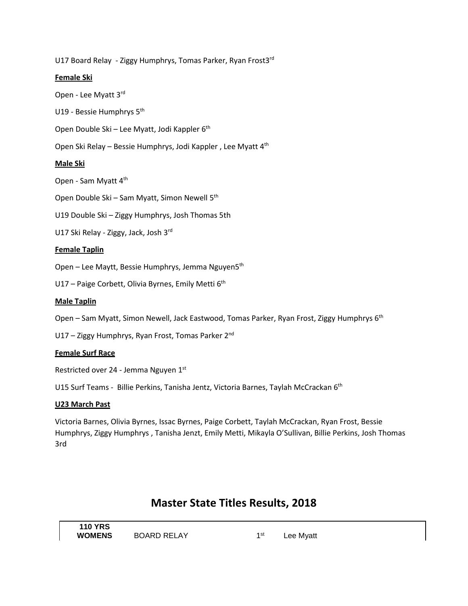U17 Board Relay - Ziggy Humphrys, Tomas Parker, Ryan Frost3rd

## **Female Ski**

Open - Lee Myatt 3rd

U19 - Bessie Humphrys 5<sup>th</sup>

Open Double Ski – Lee Myatt, Jodi Kappler 6<sup>th</sup>

Open Ski Relay – Bessie Humphrys, Jodi Kappler , Lee Myatt 4th

### **Male Ski**

Open - Sam Myatt 4<sup>th</sup>

Open Double Ski – Sam Myatt, Simon Newell 5<sup>th</sup>

U19 Double Ski – Ziggy Humphrys, Josh Thomas 5th

U17 Ski Relay - Ziggy, Jack, Josh 3rd

### **Female Taplin**

Open – Lee Maytt, Bessie Humphrys, Jemma Nguyen5<sup>th</sup>

U17 – Paige Corbett, Olivia Byrnes, Emily Metti 6<sup>th</sup>

#### **Male Taplin**

Open – Sam Myatt, Simon Newell, Jack Eastwood, Tomas Parker, Ryan Frost, Ziggy Humphrys 6<sup>th</sup>

U17 – Ziggy Humphrys, Ryan Frost, Tomas Parker 2<sup>nd</sup>

#### **Female Surf Race**

Restricted over 24 - Jemma Nguyen 1st

U15 Surf Teams - Billie Perkins, Tanisha Jentz, Victoria Barnes, Taylah McCrackan 6<sup>th</sup>

#### **U23 March Past**

Victoria Barnes, Olivia Byrnes, Issac Byrnes, Paige Corbett, Taylah McCrackan, Ryan Frost, Bessie Humphrys, Ziggy Humphrys , Tanisha Jenzt, Emily Metti, Mikayla O'Sullivan, Billie Perkins, Josh Thomas 3rd

## **Master State Titles Results, 2018**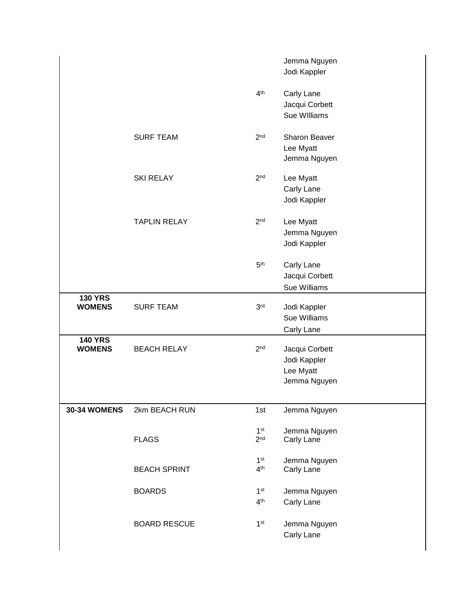|                                 |                     |                                    | Jemma Nguyen<br>Jodi Kappler                                |
|---------------------------------|---------------------|------------------------------------|-------------------------------------------------------------|
|                                 |                     | 4 <sup>th</sup>                    | Carly Lane<br>Jacqui Corbett<br>Sue Williams                |
|                                 | <b>SURF TEAM</b>    | 2 <sub>nd</sub>                    | Sharon Beaver<br>Lee Myatt<br>Jemma Nguyen                  |
|                                 | <b>SKI RELAY</b>    | 2 <sub>nd</sub>                    | Lee Myatt<br>Carly Lane<br>Jodi Kappler                     |
|                                 | <b>TAPLIN RELAY</b> | 2 <sub>nd</sub>                    | Lee Myatt<br>Jemma Nguyen<br>Jodi Kappler                   |
|                                 |                     | 5 <sup>th</sup>                    | Carly Lane<br>Jacqui Corbett<br>Sue Williams                |
| <b>130 YRS</b><br><b>WOMENS</b> | <b>SURF TEAM</b>    | 3 <sup>rd</sup>                    | Jodi Kappler<br>Sue Williams<br>Carly Lane                  |
| <b>140 YRS</b><br><b>WOMENS</b> | <b>BEACH RELAY</b>  | 2 <sub>nd</sub>                    | Jacqui Corbett<br>Jodi Kappler<br>Lee Myatt<br>Jemma Nguyen |
| <b>30-34 WOMENS</b>             | 2km BEACH RUN       | 1st                                | Jemma Nguyen                                                |
|                                 | <b>FLAGS</b>        | 1 <sup>st</sup><br>2 <sup>nd</sup> | Jemma Nguyen<br>Carly Lane                                  |
|                                 | <b>BEACH SPRINT</b> | 1 <sup>st</sup><br>4 <sup>th</sup> | Jemma Nguyen<br>Carly Lane                                  |
|                                 | <b>BOARDS</b>       | 1 <sup>st</sup><br>4 <sup>th</sup> | Jemma Nguyen<br>Carly Lane                                  |
|                                 | <b>BOARD RESCUE</b> | 1 <sup>st</sup>                    | Jemma Nguyen<br>Carly Lane                                  |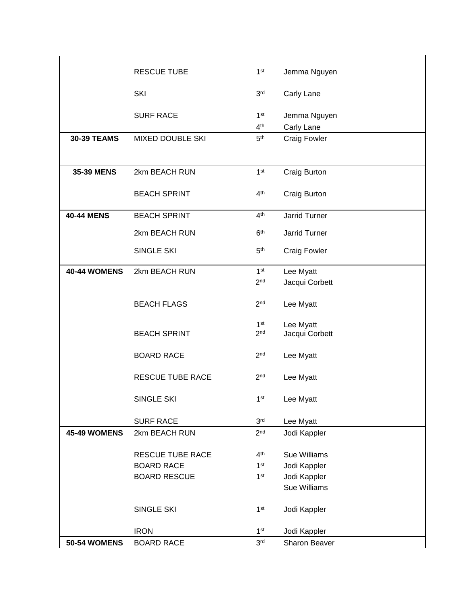|                     | <b>RESCUE TUBE</b>      | 1 <sup>st</sup> | Jemma Nguyen         |
|---------------------|-------------------------|-----------------|----------------------|
|                     | <b>SKI</b>              | 3 <sup>rd</sup> |                      |
|                     |                         |                 | Carly Lane           |
|                     | <b>SURF RACE</b>        | 1 <sup>st</sup> | Jemma Nguyen         |
|                     |                         | 4 <sup>th</sup> | Carly Lane           |
| <b>30-39 TEAMS</b>  | <b>MIXED DOUBLE SKI</b> | 5 <sup>th</sup> | <b>Craig Fowler</b>  |
|                     |                         |                 |                      |
| <b>35-39 MENS</b>   | 2km BEACH RUN           | 1 <sup>st</sup> | Craig Burton         |
|                     |                         |                 |                      |
|                     | <b>BEACH SPRINT</b>     | 4 <sup>th</sup> | Craig Burton         |
| <b>40-44 MENS</b>   | <b>BEACH SPRINT</b>     | 4 <sup>th</sup> | <b>Jarrid Turner</b> |
|                     | 2km BEACH RUN           | 6 <sup>th</sup> | Jarrid Turner        |
|                     | SINGLE SKI              | 5 <sup>th</sup> | <b>Craig Fowler</b>  |
|                     |                         |                 |                      |
| <b>40-44 WOMENS</b> | 2km BEACH RUN           | 1 <sup>st</sup> | Lee Myatt            |
|                     |                         | 2 <sub>nd</sub> | Jacqui Corbett       |
|                     | <b>BEACH FLAGS</b>      | 2 <sub>nd</sub> | Lee Myatt            |
|                     |                         | 1 <sup>st</sup> | Lee Myatt            |
|                     | <b>BEACH SPRINT</b>     | 2 <sub>nd</sub> | Jacqui Corbett       |
|                     |                         |                 |                      |
|                     | <b>BOARD RACE</b>       | 2 <sub>nd</sub> | Lee Myatt            |
|                     | <b>RESCUE TUBE RACE</b> | 2 <sub>nd</sub> | Lee Myatt            |
|                     |                         |                 |                      |
|                     | SINGLE SKI              | 1 <sup>st</sup> | Lee Myatt            |
|                     | <b>SURF RACE</b>        | 3 <sup>rd</sup> | Lee Myatt            |
| 45-49 WOMENS        | 2km BEACH RUN           | 2 <sub>nd</sub> | Jodi Kappler         |
|                     | RESCUE TUBE RACE        | 4 <sup>th</sup> | Sue Williams         |
|                     | <b>BOARD RACE</b>       | 1 <sup>st</sup> | Jodi Kappler         |
|                     | <b>BOARD RESCUE</b>     | 1 <sup>st</sup> | Jodi Kappler         |
|                     |                         |                 | Sue Williams         |
|                     | SINGLE SKI              | 1 <sup>st</sup> | Jodi Kappler         |
|                     |                         |                 |                      |
|                     | <b>IRON</b>             | 1 <sup>st</sup> | Jodi Kappler         |
| <b>50-54 WOMENS</b> | <b>BOARD RACE</b>       | 3 <sup>rd</sup> | Sharon Beaver        |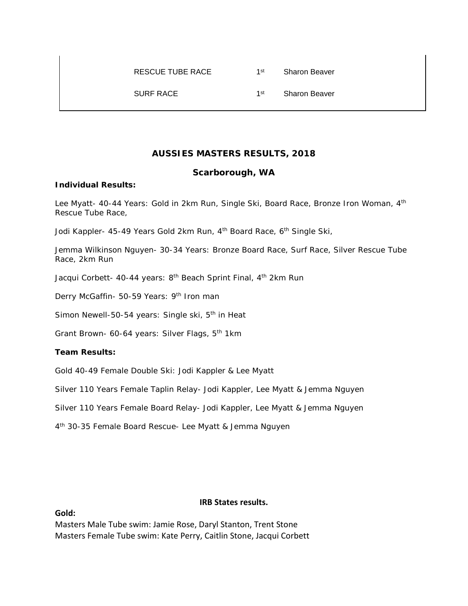## RESCUE TUBE RACE 1st Sharon Beaver

SURF RACE 1st Sharon Beaver

## **AUSSIES MASTERS RESULTS, 2018**

## **Scarborough, WA**

### **Individual Results:**

Lee Myatt- 40-44 Years: Gold in 2km Run, Single Ski, Board Race, Bronze Iron Woman, 4<sup>th</sup> Rescue Tube Race,

Jodi Kappler- 45-49 Years Gold 2km Run, 4<sup>th</sup> Board Race, 6<sup>th</sup> Single Ski,

Jemma Wilkinson Nguyen- 30-34 Years: Bronze Board Race, Surf Race, Silver Rescue Tube Race, 2km Run

Jacqui Corbett- 40-44 years: 8<sup>th</sup> Beach Sprint Final, 4<sup>th</sup> 2km Run

Derry McGaffin- 50-59 Years: 9<sup>th</sup> Iron man

Simon Newell-50-54 years: Single ski, 5<sup>th</sup> in Heat

Grant Brown- 60-64 years: Silver Flags, 5<sup>th</sup> 1km

## **Team Results:**

Gold 40-49 Female Double Ski: Jodi Kappler & Lee Myatt

Silver 110 Years Female Taplin Relay- Jodi Kappler, Lee Myatt & Jemma Nguyen

Silver 110 Years Female Board Relay- Jodi Kappler, Lee Myatt & Jemma Nguyen

4th 30-35 Female Board Rescue- Lee Myatt & Jemma Nguyen

#### **IRB States results.**

**Gold:**

Masters Male Tube swim: Jamie Rose, Daryl Stanton, Trent Stone Masters Female Tube swim: Kate Perry, Caitlin Stone, Jacqui Corbett